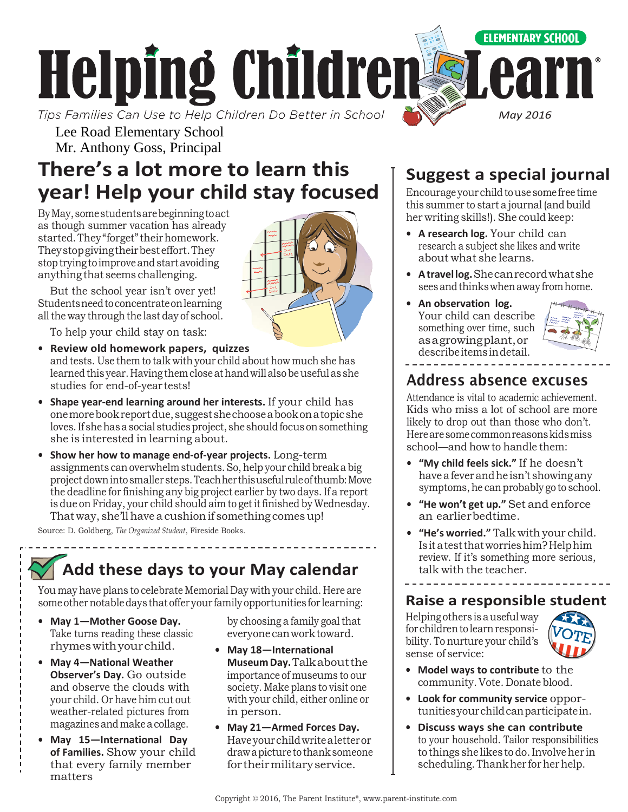

Lee Road Elementary School Mr. Anthony Goss, Principal

# **There's a lot more to learn this year! Help your child stay focused**

ByMay,somestudentsarebeginningtoact as though summer vacation has already started. They "forget" their homework. Theystopgivingtheirbesteffort.They stop trying to improve and start avoiding anything that seems challenging.

But the school year isn't over yet! Studentsneedtoconcentrateonlearning all the way through the last day of school.

To help your child stay on task:

- **• Review old homework papers, quizzes** and tests. Use them to talk with your child about how much she has learned this year. Having them close at hand will also be useful as she studies for end-of-year tests!
- **• Shape year-end learning around her interests.** If your child has onemorebookreportdue,suggestshechooseabookonatopicshe loves. If she has a social studies project, she should focus on something she is interested in learning about.
- **• Show her how to manage end-of-year projects.** Long-term assignments can overwhelmstudents.So,help your child breaka big projectdownintosmaller steps.Teachherthisusefulruleofthumb:Move the deadline for finishing any big project earlier by two days. If a report is due on Friday, your child should aim to get it finished by Wednesday. That way, she'll have a cushion if something comes up!

Source: D. Goldberg, *The Organized Student*, Fireside Books.

# **Add these days to your May calendar**

You may have plans to celebrate Memorial Day with your child. Here are some other notable days that offer your family opportunities for learning:

- **• May 1—Mother Goose Day.**  Take turns reading these classic rhymeswithyourchild.
- **• May 4—National Weather Observer's Day.** Go outside and observe the clouds with your child. Or have him cut out weather-related pictures from magazinesandmakeacollage.
- **• May 15—International Day of Families.** Show your child that every family member matters

by choosing a family goal that everyonecanworktoward.

- **• May 18—International MuseumDay.**Talkaboutthe importance of museums to our society. Make plans to visit one with your child, either online or in person.
- **• May 21—Armed Forces Day.**  Haveyourchildwritealetteror drawa picture to thank someone fortheirmilitaryservice.

## **Suggest a special journal**

Encourage your child to use some free time this summer to start a journal (and build her writing skills!). She could keep:

- **• A research log.** Your child can research a subject she likes and write about what she learns.
- **• Atravellog.**Shecanrecordwhatshe sees and thinks when away from home.
- **• An observation log.**  Your child can describe something over time, such asagrowingplant,or describeitemsindetail.



## Address absence excuses

Attendance is vital to academic achievement. Kids who miss a lot of school are more likely to drop out than those who don't. Herearesomecommonreasonskidsmiss school—and how to handle them:

- **• "My child feels sick."** If he doesn't haveafeverandhe isn't showing any symptoms, he can probably go to school.
- **• "He won't get up."** Set and enforce an earlierbedtime.
- **• "He's worried."** Talk with your child. Isitatestthatworrieshim?Helphim review. If it's something more serious, talk with the teacher.

### **Raise a responsible student**

Helping others isausefulway for children to learn responsibility. To nurture your child's sense of service:

<u>. . . . . . . . . . . . . .</u>



- **• Model ways to contribute** to the community. Vote. Donate blood.
- **• Look for community service** opportunitiesyourchildcanparticipatein.
- **• Discuss ways she can contribute** to your household. Tailor responsibilities tothings she likestodo.Involveher in scheduling. Thank her for her help.